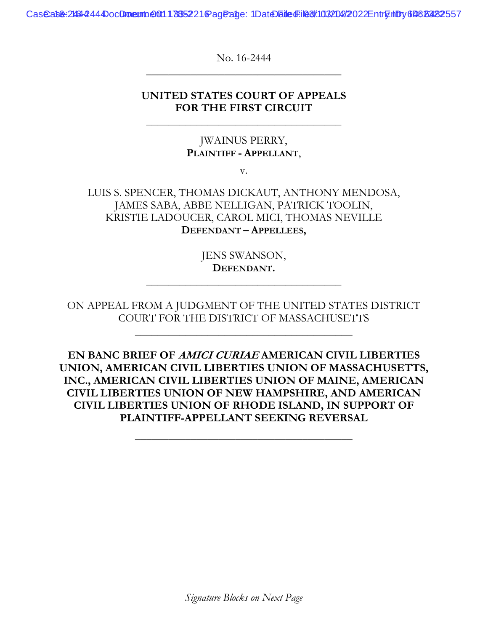Case: 2161-2440 oc Droeum: 00117852216 Pageage: 1 Date Filed: 103202/2022 Entry In Dy 648232557

No. 16-2444 \_\_\_\_\_\_\_\_\_\_\_\_\_\_\_\_\_\_\_\_\_\_\_\_\_\_\_\_\_\_\_\_\_\_\_

## **UNITED STATES COURT OF APPEALS FOR THE FIRST CIRCUIT**

\_\_\_\_\_\_\_\_\_\_\_\_\_\_\_\_\_\_\_\_\_\_\_\_\_\_\_\_\_\_\_\_\_\_\_

## JWAINUS PERRY, **PLAINTIFF - APPELLANT**,

v.

## LUIS S. SPENCER, THOMAS DICKAUT, ANTHONY MENDOSA, JAMES SABA, ABBE NELLIGAN, PATRICK TOOLIN, KRISTIE LADOUCER, CAROL MICI, THOMAS NEVILLE **DEFENDANT – APPELLEES,**

JENS SWANSON, **DEFENDANT.** \_\_\_\_\_\_\_\_\_\_\_\_\_\_\_\_\_\_\_\_\_\_\_\_\_\_\_\_\_\_\_\_\_\_\_

ON APPEAL FROM A JUDGMENT OF THE UNITED STATES DISTRICT COURT FOR THE DISTRICT OF MASSACHUSETTS

 $\frac{1}{2}$  ,  $\frac{1}{2}$  ,  $\frac{1}{2}$  ,  $\frac{1}{2}$  ,  $\frac{1}{2}$  ,  $\frac{1}{2}$  ,  $\frac{1}{2}$  ,  $\frac{1}{2}$  ,  $\frac{1}{2}$  ,  $\frac{1}{2}$  ,  $\frac{1}{2}$  ,  $\frac{1}{2}$  ,  $\frac{1}{2}$  ,  $\frac{1}{2}$  ,  $\frac{1}{2}$  ,  $\frac{1}{2}$  ,  $\frac{1}{2}$  ,  $\frac{1}{2}$  ,  $\frac{1$ 

**EN BANC BRIEF OF AMICI CURIAE AMERICAN CIVIL LIBERTIES UNION, AMERICAN CIVIL LIBERTIES UNION OF MASSACHUSETTS, INC., AMERICAN CIVIL LIBERTIES UNION OF MAINE, AMERICAN CIVIL LIBERTIES UNION OF NEW HAMPSHIRE, AND AMERICAN CIVIL LIBERTIES UNION OF RHODE ISLAND, IN SUPPORT OF PLAINTIFF-APPELLANT SEEKING REVERSAL** 

**\_\_\_\_\_\_\_\_\_\_\_\_\_\_\_\_\_\_\_\_\_\_\_\_\_\_\_\_\_\_\_\_\_\_\_\_\_\_\_** 

*Signature Blocks on Next Page*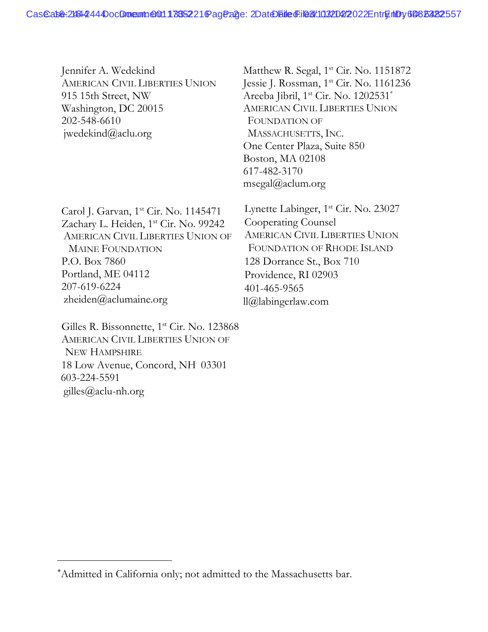Jennifer A. Wedekind AMERICAN CIVIL LIBERTIES UNION 915 15th Street, NW Washington, DC 20015 202-548-6610 jwedekind@aclu.org

Carol J. Garvan, 1st Cir. No. 1145471 Zachary L. Heiden, 1st Cir. No. 99242 AMERICAN CIVIL LIBERTIES UNION OF MAINE FOUNDATION P.O. Box 7860 Portland, ME 04112 207-619-6224 zheiden@aclumaine.org

Gilles R. Bissonnette, 1<sup>st</sup> Cir. No. 123868 AMERICAN CIVIL LIBERTIES UNION OF NEW HAMPSHIRE 18 Low Avenue, Concord, NH 03301 603-224-5591 gilles@aclu-nh.org

Matthew R. Segal,  $1<sup>st</sup>$  Cir. No. 1151872 Jessie J. Rossman, 1<sup>st</sup> Cir. No. 1161236 Areeba Jibril, 1<sup>st</sup> Cir. No. 1202531\* AMERICAN CIVIL LIBERTIES UNION FOUNDATION OF MASSACHUSETTS, INC. One Center Plaza, Suite 850 Boston, MA 02108 617-482-3170 msegal@aclum.org

Lynette Labinger, 1<sup>st</sup> Cir. No. 23027 Cooperating Counsel AMERICAN CIVIL LIBERTIES UNION FOUNDATION OF RHODE ISLAND      128 Dorrance St., Box 710 Providence, RI 02903 401-465-9565 ll@labingerlaw.com

Admitted in California only; not admitted to the Massachusetts bar.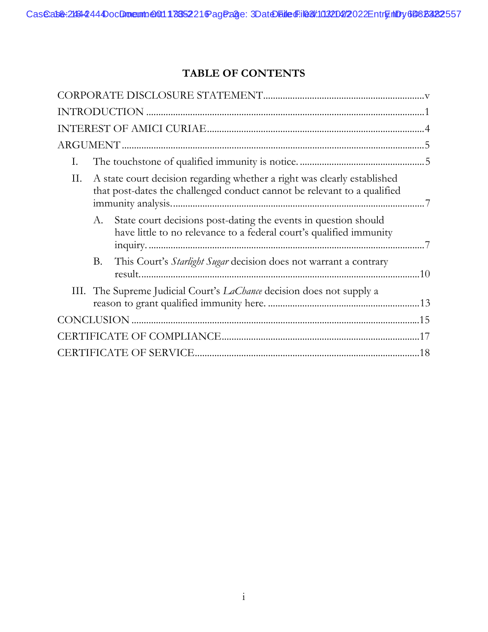# **TABLE OF CONTENTS**

| Ι. |    |                                                                                                                                                      |  |  |
|----|----|------------------------------------------------------------------------------------------------------------------------------------------------------|--|--|
| Π. |    | A state court decision regarding whether a right was clearly established<br>that post-dates the challenged conduct cannot be relevant to a qualified |  |  |
|    | A. | State court decisions post-dating the events in question should<br>have little to no relevance to a federal court's qualified immunity               |  |  |
|    | B. | This Court's Starlight Sugar decision does not warrant a contrary                                                                                    |  |  |
|    |    | III. The Supreme Judicial Court's LaChance decision does not supply a                                                                                |  |  |
|    |    |                                                                                                                                                      |  |  |
|    |    |                                                                                                                                                      |  |  |
|    |    |                                                                                                                                                      |  |  |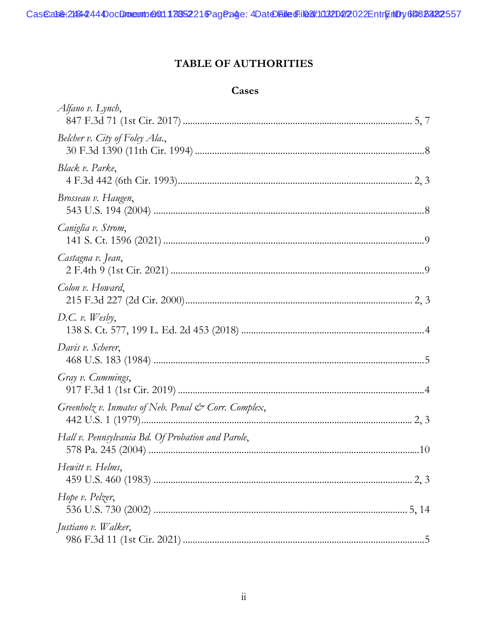# **TABLE OF AUTHORITIES**

## Cases

| Alfano v. Lynch,                                                         |
|--------------------------------------------------------------------------|
| Belcher v. City of Foley Ala.,                                           |
| Black v. Parke,                                                          |
| Brosseau v. Haugen,                                                      |
| Caniglia v. Strom,                                                       |
| Castagna v. Jean,                                                        |
| Colon v. Howard,                                                         |
| D.C. v. Wesby,                                                           |
| Davis v. Scherer,                                                        |
| Gray v. Cummings,                                                        |
| Greenholz v. Inmates of Neb. Penal $\mathcal{C}^{\infty}$ Corr. Complex, |
| Hall v. Pennsylvania Bd. Of Probation and Parole,                        |
| Hewitt v. Helms,                                                         |
| Hope v. Pelzer,                                                          |
| Justiano v. Walker,                                                      |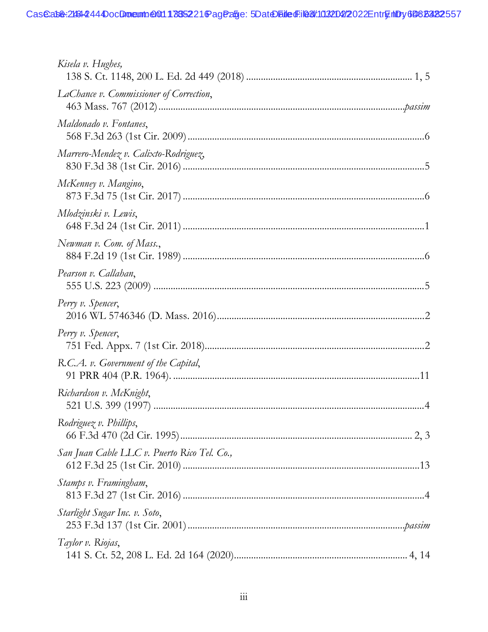| Kisela v. Hughes,                           |
|---------------------------------------------|
| LaChance v. Commissioner of Correction,     |
| Maldonado v. Fontanes,                      |
| Marrero-Mendez v. Calixto-Rodriguez,        |
| McKenney v. Mangino,                        |
| Mlodzinski v. Lewis,                        |
| Newman v. Com. of Mass.,                    |
| Pearson v. Callahan,                        |
| Perry v. Spencer,                           |
| Perry v. Spencer,                           |
| R.C.A. v. Government of the Capital,        |
| Richardson v. McKnight,                     |
| Rodriguez v. Phillips,                      |
| San Juan Cable LLC v. Puerto Rico Tel. Co., |
| Stamps v. Framingham,                       |
| Starlight Sugar Inc. v. Soto,               |
| Taylor v. Riojas,                           |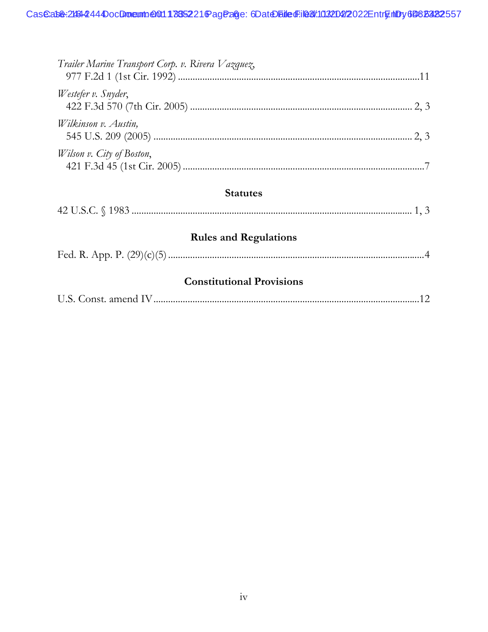| Trailer Marine Transport Corp. v. Rivera Vazquez, |  |
|---------------------------------------------------|--|
| Westefer v. Snyder,                               |  |
| Wilkinson v. Austin,                              |  |
| Wilson v. City of Boston,                         |  |

## **Statutes**

| 42 U.S.C. § 1983 |  |
|------------------|--|
|------------------|--|

# **Rules and Regulations**

| Fed. R. App. P. |  |  |  |
|-----------------|--|--|--|
|-----------------|--|--|--|

# **Constitutional Provisions**

| U.S. Const. amend |
|-------------------|
|-------------------|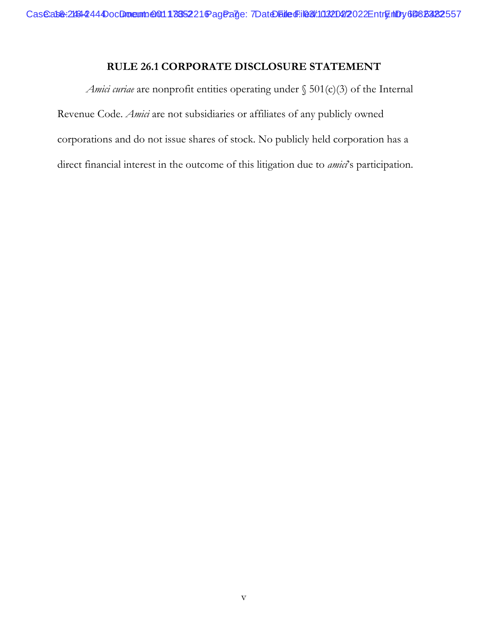## **RULE 26.1 CORPORATE DISCLOSURE STATEMENT**

*Amici curiae* are nonprofit entities operating under § 501(c)(3) of the Internal Revenue Code. *Amici* are not subsidiaries or affiliates of any publicly owned corporations and do not issue shares of stock. No publicly held corporation has a direct financial interest in the outcome of this litigation due to *amici*'s participation.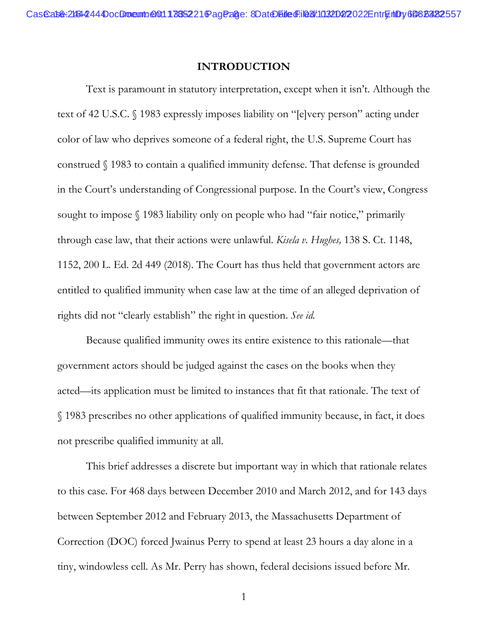#### **INTRODUCTION**

Text is paramount in statutory interpretation, except when it isn't. Although the text of 42 U.S.C. § 1983 expressly imposes liability on "[e]very person" acting under color of law who deprives someone of a federal right, the U.S. Supreme Court has construed § 1983 to contain a qualified immunity defense. That defense is grounded in the Court's understanding of Congressional purpose. In the Court's view, Congress sought to impose  $\S$  1983 liability only on people who had "fair notice," primarily through case law, that their actions were unlawful. *Kisela v. Hughes,* 138 S. Ct. 1148, 1152, 200 L. Ed. 2d 449 (2018). The Court has thus held that government actors are entitled to qualified immunity when case law at the time of an alleged deprivation of rights did not "clearly establish" the right in question. *See id.*

Because qualified immunity owes its entire existence to this rationale—that government actors should be judged against the cases on the books when they acted—its application must be limited to instances that fit that rationale. The text of § 1983 prescribes no other applications of qualified immunity because, in fact, it does not prescribe qualified immunity at all.

This brief addresses a discrete but important way in which that rationale relates to this case. For 468 days between December 2010 and March 2012, and for 143 days between September 2012 and February 2013, the Massachusetts Department of Correction (DOC) forced Jwainus Perry to spend at least 23 hours a day alone in a tiny, windowless cell. As Mr. Perry has shown, federal decisions issued before Mr.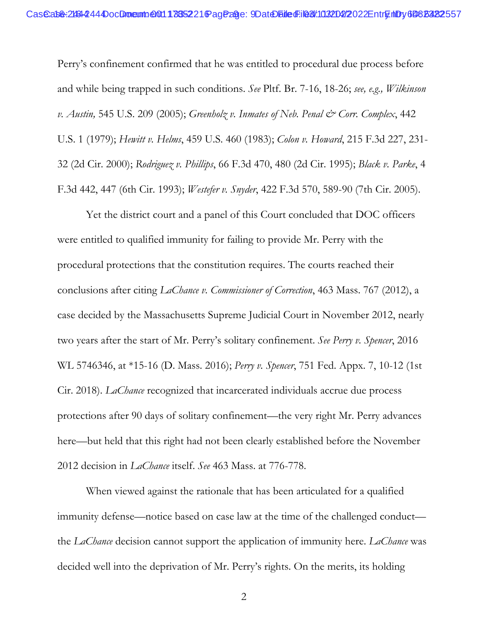Perry's confinement confirmed that he was entitled to procedural due process before and while being trapped in such conditions. *See* Pltf. Br. 7-16, 18-26; *see, e.g., Wilkinson v. Austin,* 545 U.S. 209 (2005); *Greenholz v. Inmates of Neb. Penal & Corr. Complex*, 442 U.S. 1 (1979); *Hewitt v. Helms*, 459 U.S. 460 (1983); *Colon v. Howard*, 215 F.3d 227, 231- 32 (2d Cir. 2000); *Rodriguez v. Phillips*, 66 F.3d 470, 480 (2d Cir. 1995); *Black v. Parke*, 4 F.3d 442, 447 (6th Cir. 1993); *Westefer v. Snyder*, 422 F.3d 570, 589-90 (7th Cir. 2005).

Yet the district court and a panel of this Court concluded that DOC officers were entitled to qualified immunity for failing to provide Mr. Perry with the procedural protections that the constitution requires. The courts reached their conclusions after citing *LaChance v. Commissioner of Correction*, 463 Mass. 767 (2012), a case decided by the Massachusetts Supreme Judicial Court in November 2012, nearly two years after the start of Mr. Perry's solitary confinement. *See Perry v. Spencer*, 2016 WL 5746346, at \*15-16 (D. Mass. 2016); *Perry v. Spencer*, 751 Fed. Appx. 7, 10-12 (1st Cir. 2018). *LaChance* recognized that incarcerated individuals accrue due process protections after 90 days of solitary confinement—the very right Mr. Perry advances here—but held that this right had not been clearly established before the November 2012 decision in *LaChance* itself. *See* 463 Mass. at 776-778.

When viewed against the rationale that has been articulated for a qualified immunity defense—notice based on case law at the time of the challenged conduct the *LaChance* decision cannot support the application of immunity here. *LaChance* was decided well into the deprivation of Mr. Perry's rights. On the merits, its holding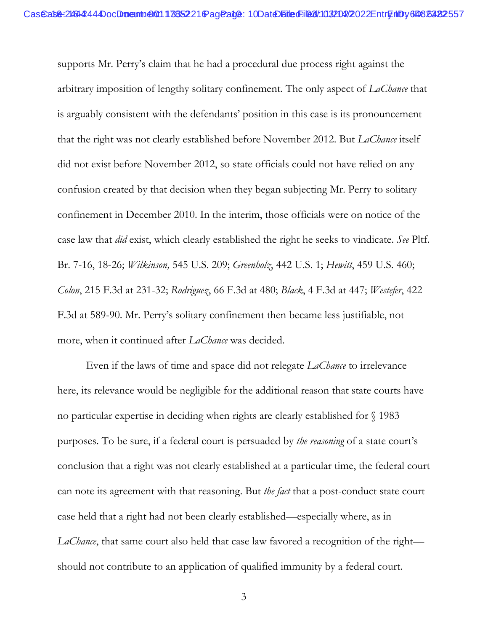supports Mr. Perry's claim that he had a procedural due process right against the arbitrary imposition of lengthy solitary confinement. The only aspect of *LaChance* that is arguably consistent with the defendants' position in this case is its pronouncement that the right was not clearly established before November 2012. But *LaChance* itself did not exist before November 2012, so state officials could not have relied on any confusion created by that decision when they began subjecting Mr. Perry to solitary confinement in December 2010. In the interim, those officials were on notice of the case law that *did* exist, which clearly established the right he seeks to vindicate. *See* Pltf. Br. 7-16, 18-26; *Wilkinson,* 545 U.S. 209; *Greenholz*, 442 U.S. 1; *Hewitt*, 459 U.S. 460; *Colon*, 215 F.3d at 231-32; *Rodriguez*, 66 F.3d at 480; *Black*, 4 F.3d at 447; *Westefer*, 422 F.3d at 589-90. Mr. Perry's solitary confinement then became less justifiable, not more, when it continued after *LaChance* was decided.

Even if the laws of time and space did not relegate *LaChance* to irrelevance here, its relevance would be negligible for the additional reason that state courts have no particular expertise in deciding when rights are clearly established for § 1983 purposes. To be sure, if a federal court is persuaded by *the reasoning* of a state court's conclusion that a right was not clearly established at a particular time, the federal court can note its agreement with that reasoning. But *the fact* that a post-conduct state court case held that a right had not been clearly established—especially where, as in *LaChance*, that same court also held that case law favored a recognition of the right should not contribute to an application of qualified immunity by a federal court.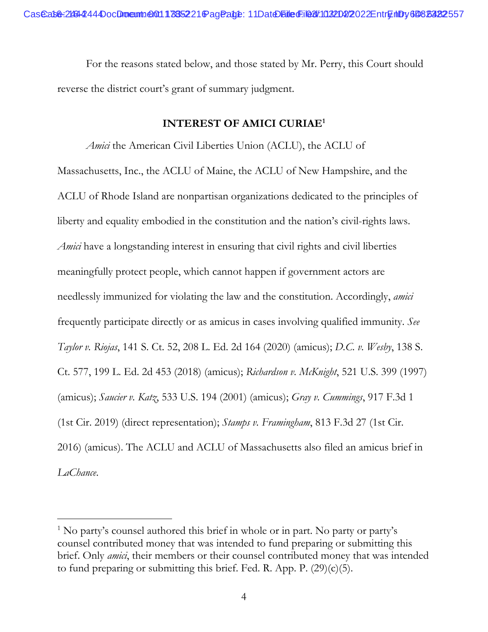For the reasons stated below, and those stated by Mr. Perry, this Court should reverse the district court's grant of summary judgment.

### **INTEREST OF AMICI CURIAE1**

*Amici* the American Civil Liberties Union (ACLU), the ACLU of Massachusetts, Inc., the ACLU of Maine, the ACLU of New Hampshire, and the ACLU of Rhode Island are nonpartisan organizations dedicated to the principles of liberty and equality embodied in the constitution and the nation's civil-rights laws. *Amici* have a longstanding interest in ensuring that civil rights and civil liberties meaningfully protect people, which cannot happen if government actors are needlessly immunized for violating the law and the constitution. Accordingly, *amici*  frequently participate directly or as amicus in cases involving qualified immunity. *See Taylor v. Riojas*, 141 S. Ct. 52, 208 L. Ed. 2d 164 (2020) (amicus); *D.C. v. Wesby*, 138 S. Ct. 577, 199 L. Ed. 2d 453 (2018) (amicus); *Richardson v. McKnight*, 521 U.S. 399 (1997) (amicus); *Saucier v. Katz*, 533 U.S. 194 (2001) (amicus); *Gray v. Cummings*, 917 F.3d 1 (1st Cir. 2019) (direct representation); *Stamps v. Framingham*, 813 F.3d 27 (1st Cir. 2016) (amicus). The ACLU and ACLU of Massachusetts also filed an amicus brief in *LaChance*.

<sup>&</sup>lt;sup>1</sup> No party's counsel authored this brief in whole or in part. No party or party's counsel contributed money that was intended to fund preparing or submitting this brief. Only *amici*, their members or their counsel contributed money that was intended to fund preparing or submitting this brief. Fed. R. App. P.  $(29)(c)(5)$ .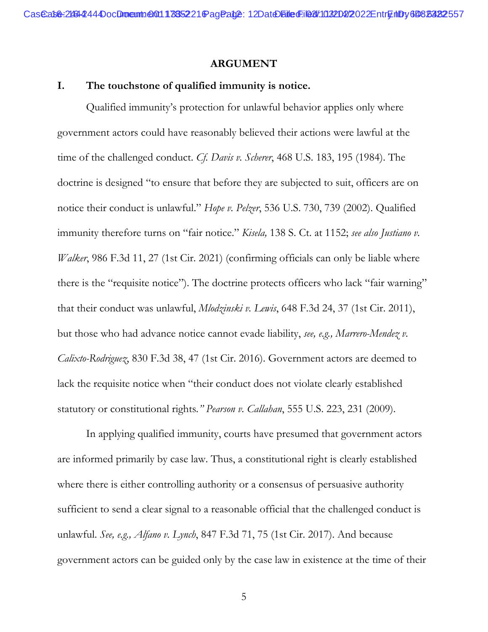#### **ARGUMENT**

#### **I. The touchstone of qualified immunity is notice.**

Qualified immunity's protection for unlawful behavior applies only where government actors could have reasonably believed their actions were lawful at the time of the challenged conduct. *Cf. Davis v. Scherer*, 468 U.S. 183, 195 (1984). The doctrine is designed "to ensure that before they are subjected to suit, officers are on notice their conduct is unlawful." *Hope v. Pelzer*, 536 U.S. 730, 739 (2002). Qualified immunity therefore turns on "fair notice." *Kisela,* 138 S. Ct. at 1152; *see also Justiano v. Walker*, 986 F.3d 11, 27 (1st Cir. 2021) (confirming officials can only be liable where there is the "requisite notice"). The doctrine protects officers who lack "fair warning" that their conduct was unlawful, *Mlodzinski v. Lewis*, 648 F.3d 24, 37 (1st Cir. 2011), but those who had advance notice cannot evade liability, *see, e.g., Marrero-Mendez v. Calixto-Rodriguez*, 830 F.3d 38, 47 (1st Cir. 2016). Government actors are deemed to lack the requisite notice when "their conduct does not violate clearly established statutory or constitutional rights*." Pearson v. Callahan*, 555 U.S. 223, 231 (2009).

In applying qualified immunity, courts have presumed that government actors are informed primarily by case law. Thus, a constitutional right is clearly established where there is either controlling authority or a consensus of persuasive authority sufficient to send a clear signal to a reasonable official that the challenged conduct is unlawful. *See, e.g., Alfano v. Lynch*, 847 F.3d 71, 75 (1st Cir. 2017). And because government actors can be guided only by the case law in existence at the time of their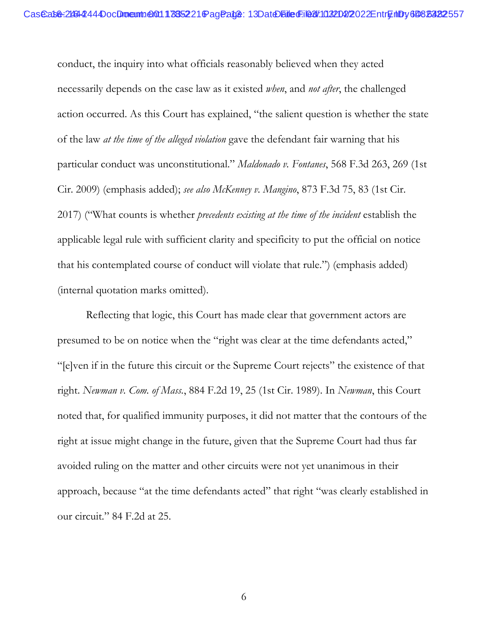conduct, the inquiry into what officials reasonably believed when they acted necessarily depends on the case law as it existed *when*, and *not after*, the challenged action occurred. As this Court has explained, "the salient question is whether the state of the law *at the time of the alleged violation* gave the defendant fair warning that his particular conduct was unconstitutional." *Maldonado v. Fontanes*, 568 F.3d 263, 269 (1st Cir. 2009) (emphasis added); *see also McKenney v. Mangino*, 873 F.3d 75, 83 (1st Cir. 2017) ("What counts is whether *precedents existing at the time of the incident* establish the applicable legal rule with sufficient clarity and specificity to put the official on notice that his contemplated course of conduct will violate that rule.") (emphasis added) (internal quotation marks omitted).

Reflecting that logic, this Court has made clear that government actors are presumed to be on notice when the "right was clear at the time defendants acted," "[e]ven if in the future this circuit or the Supreme Court rejects" the existence of that right. *Newman v. Com. of Mass.*, 884 F.2d 19, 25 (1st Cir. 1989). In *Newman*, this Court noted that, for qualified immunity purposes, it did not matter that the contours of the right at issue might change in the future, given that the Supreme Court had thus far avoided ruling on the matter and other circuits were not yet unanimous in their approach, because "at the time defendants acted" that right "was clearly established in our circuit." 84 F.2d at 25.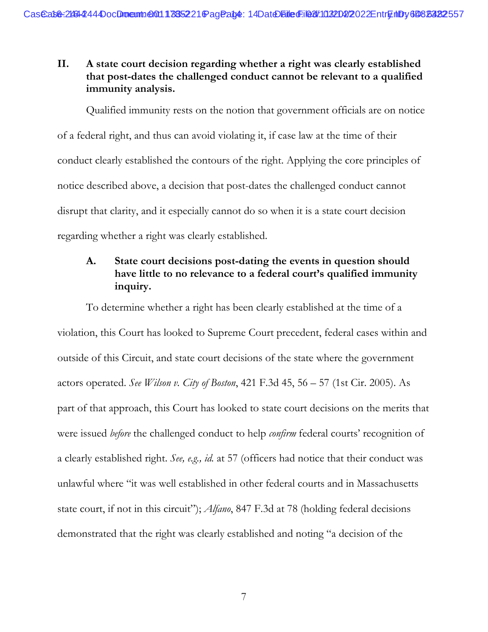## **II. A state court decision regarding whether a right was clearly established that post-dates the challenged conduct cannot be relevant to a qualified immunity analysis.**

Qualified immunity rests on the notion that government officials are on notice of a federal right, and thus can avoid violating it, if case law at the time of their conduct clearly established the contours of the right. Applying the core principles of notice described above, a decision that post-dates the challenged conduct cannot disrupt that clarity, and it especially cannot do so when it is a state court decision regarding whether a right was clearly established.

## **A. State court decisions post-dating the events in question should have little to no relevance to a federal court's qualified immunity inquiry.**

To determine whether a right has been clearly established at the time of a violation, this Court has looked to Supreme Court precedent, federal cases within and outside of this Circuit, and state court decisions of the state where the government actors operated. *See Wilson v. City of Boston*, 421 F.3d 45, 56 – 57 (1st Cir. 2005). As part of that approach, this Court has looked to state court decisions on the merits that were issued *before* the challenged conduct to help *confirm* federal courts' recognition of a clearly established right. *See, e.g., id.* at 57 (officers had notice that their conduct was unlawful where "it was well established in other federal courts and in Massachusetts state court, if not in this circuit"); *Alfano*, 847 F.3d at 78 (holding federal decisions demonstrated that the right was clearly established and noting "a decision of the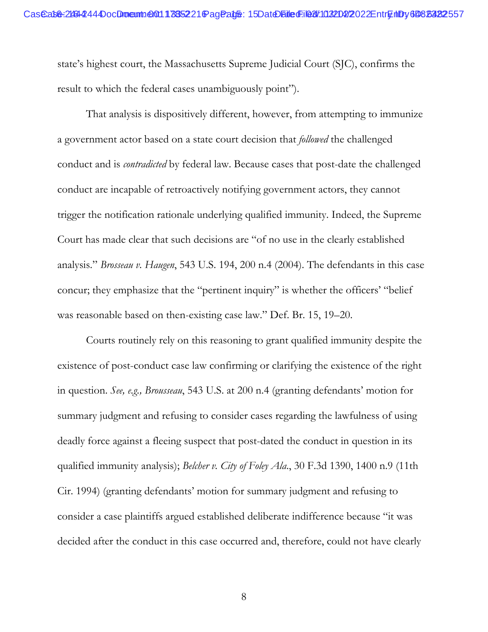state's highest court, the Massachusetts Supreme Judicial Court (SJC), confirms the result to which the federal cases unambiguously point").

That analysis is dispositively different, however, from attempting to immunize a government actor based on a state court decision that *followed* the challenged conduct and is *contradicted* by federal law. Because cases that post-date the challenged conduct are incapable of retroactively notifying government actors, they cannot trigger the notification rationale underlying qualified immunity. Indeed, the Supreme Court has made clear that such decisions are "of no use in the clearly established analysis." *Brosseau v. Haugen*, 543 U.S. 194, 200 n.4 (2004). The defendants in this case concur; they emphasize that the "pertinent inquiry" is whether the officers' "belief was reasonable based on then-existing case law." Def. Br. 15, 19–20.

Courts routinely rely on this reasoning to grant qualified immunity despite the existence of post-conduct case law confirming or clarifying the existence of the right in question. *See, e.g., Brousseau*, 543 U.S. at 200 n.4 (granting defendants' motion for summary judgment and refusing to consider cases regarding the lawfulness of using deadly force against a fleeing suspect that post-dated the conduct in question in its qualified immunity analysis); *Belcher v. City of Foley Ala*., 30 F.3d 1390, 1400 n.9 (11th Cir. 1994) (granting defendants' motion for summary judgment and refusing to consider a case plaintiffs argued established deliberate indifference because "it was decided after the conduct in this case occurred and, therefore, could not have clearly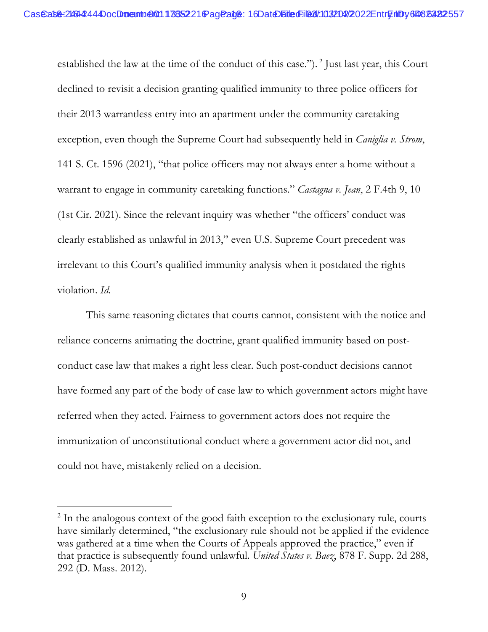established the law at the time of the conduct of this case."). 2 Just last year, this Court declined to revisit a decision granting qualified immunity to three police officers for their 2013 warrantless entry into an apartment under the community caretaking exception, even though the Supreme Court had subsequently held in *Caniglia v. Strom*, 141 S. Ct. 1596 (2021), "that police officers may not always enter a home without a warrant to engage in community caretaking functions." *Castagna v. Jean*, 2 F.4th 9, 10 (1st Cir. 2021). Since the relevant inquiry was whether "the officers' conduct was clearly established as unlawful in 2013," even U.S. Supreme Court precedent was irrelevant to this Court's qualified immunity analysis when it postdated the rights violation. *Id.*

This same reasoning dictates that courts cannot, consistent with the notice and reliance concerns animating the doctrine, grant qualified immunity based on postconduct case law that makes a right less clear. Such post-conduct decisions cannot have formed any part of the body of case law to which government actors might have referred when they acted. Fairness to government actors does not require the immunization of unconstitutional conduct where a government actor did not, and could not have, mistakenly relied on a decision.

<sup>&</sup>lt;sup>2</sup> In the analogous context of the good faith exception to the exclusionary rule, courts have similarly determined, "the exclusionary rule should not be applied if the evidence was gathered at a time when the Courts of Appeals approved the practice," even if that practice is subsequently found unlawful. *United States v. Baez*, 878 F. Supp. 2d 288, 292 (D. Mass. 2012).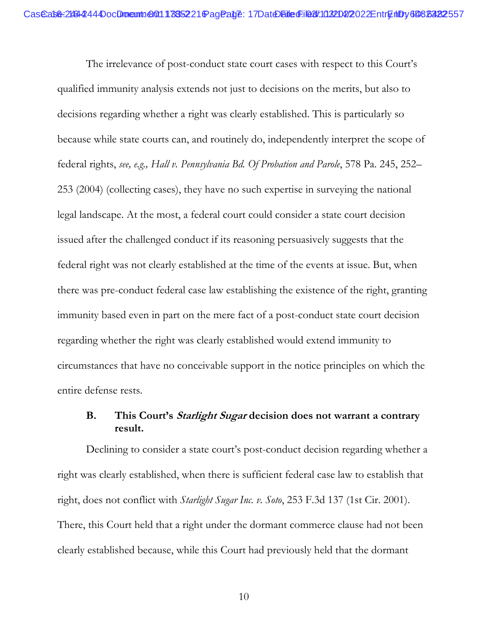The irrelevance of post-conduct state court cases with respect to this Court's qualified immunity analysis extends not just to decisions on the merits, but also to decisions regarding whether a right was clearly established. This is particularly so because while state courts can, and routinely do, independently interpret the scope of federal rights, *see, e.g., Hall v. Pennsylvania Bd. Of Probation and Parole*, 578 Pa. 245, 252– 253 (2004) (collecting cases), they have no such expertise in surveying the national legal landscape. At the most, a federal court could consider a state court decision issued after the challenged conduct if its reasoning persuasively suggests that the federal right was not clearly established at the time of the events at issue. But, when there was pre-conduct federal case law establishing the existence of the right, granting immunity based even in part on the mere fact of a post-conduct state court decision regarding whether the right was clearly established would extend immunity to circumstances that have no conceivable support in the notice principles on which the entire defense rests.

## **B. This Court's Starlight Sugar decision does not warrant a contrary result.**

Declining to consider a state court's post-conduct decision regarding whether a right was clearly established, when there is sufficient federal case law to establish that right, does not conflict with *Starlight Sugar Inc. v. Soto*, 253 F.3d 137 (1st Cir. 2001). There, this Court held that a right under the dormant commerce clause had not been clearly established because, while this Court had previously held that the dormant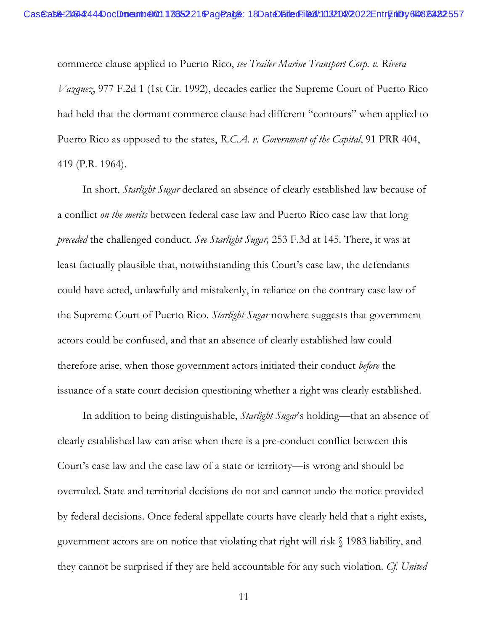commerce clause applied to Puerto Rico, *see Trailer Marine Transport Corp. v. Rivera Vazquez*, 977 F.2d 1 (1st Cir. 1992), decades earlier the Supreme Court of Puerto Rico had held that the dormant commerce clause had different "contours" when applied to Puerto Rico as opposed to the states, *R.C.A. v. Government of the Capital*, 91 PRR 404, 419 (P.R. 1964).

In short, *Starlight Sugar* declared an absence of clearly established law because of a conflict *on the merits* between federal case law and Puerto Rico case law that long *preceded* the challenged conduct. *See Starlight Sugar,* 253 F.3d at 145. There, it was at least factually plausible that, notwithstanding this Court's case law, the defendants could have acted, unlawfully and mistakenly, in reliance on the contrary case law of the Supreme Court of Puerto Rico. *Starlight Sugar* nowhere suggests that government actors could be confused, and that an absence of clearly established law could therefore arise, when those government actors initiated their conduct *before* the issuance of a state court decision questioning whether a right was clearly established.

In addition to being distinguishable, *Starlight Sugar*'s holding—that an absence of clearly established law can arise when there is a pre-conduct conflict between this Court's case law and the case law of a state or territory—is wrong and should be overruled. State and territorial decisions do not and cannot undo the notice provided by federal decisions. Once federal appellate courts have clearly held that a right exists, government actors are on notice that violating that right will risk § 1983 liability, and they cannot be surprised if they are held accountable for any such violation. *Cf. United*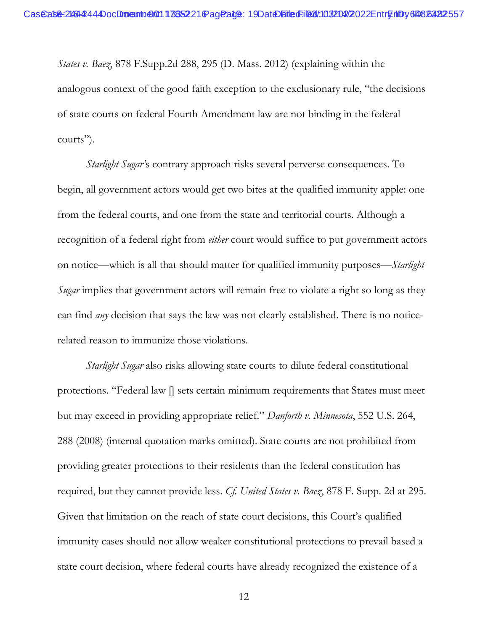*States v. Baez*, 878 F.Supp.2d 288, 295 (D. Mass. 2012) (explaining within the analogous context of the good faith exception to the exclusionary rule, "the decisions of state courts on federal Fourth Amendment law are not binding in the federal courts").

*Starlight Sugar'*s contrary approach risks several perverse consequences. To begin, all government actors would get two bites at the qualified immunity apple: one from the federal courts, and one from the state and territorial courts. Although a recognition of a federal right from *either* court would suffice to put government actors on notice—which is all that should matter for qualified immunity purposes—*Starlight Sugar* implies that government actors will remain free to violate a right so long as they can find *any* decision that says the law was not clearly established. There is no noticerelated reason to immunize those violations.

 *Starlight Sugar* also risks allowing state courts to dilute federal constitutional protections. "Federal law [] sets certain minimum requirements that States must meet but may exceed in providing appropriate relief." *Danforth v. Minnesota*, 552 U.S. 264, 288 (2008) (internal quotation marks omitted). State courts are not prohibited from providing greater protections to their residents than the federal constitution has required, but they cannot provide less. *Cf. United States v. Baez*, 878 F. Supp. 2d at 295. Given that limitation on the reach of state court decisions, this Court's qualified immunity cases should not allow weaker constitutional protections to prevail based a state court decision, where federal courts have already recognized the existence of a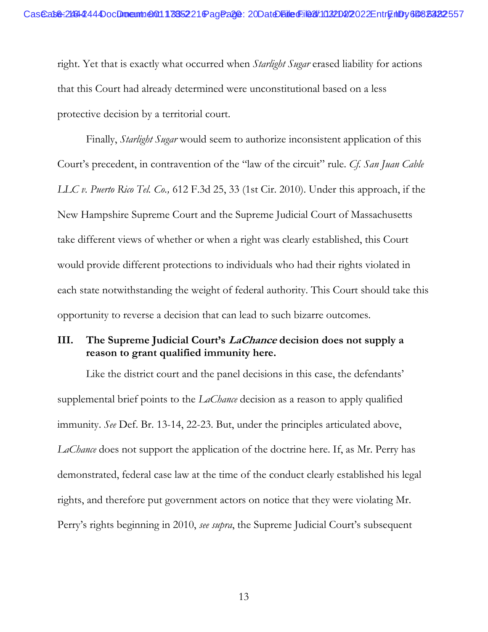right. Yet that is exactly what occurred when *Starlight Sugar* erased liability for actions that this Court had already determined were unconstitutional based on a less protective decision by a territorial court.

Finally, *Starlight Sugar* would seem to authorize inconsistent application of this Court's precedent, in contravention of the "law of the circuit" rule. *Cf. San Juan Cable LLC v. Puerto Rico Tel. Co.,* 612 F.3d 25, 33 (1st Cir. 2010). Under this approach, if the New Hampshire Supreme Court and the Supreme Judicial Court of Massachusetts take different views of whether or when a right was clearly established, this Court would provide different protections to individuals who had their rights violated in each state notwithstanding the weight of federal authority. This Court should take this opportunity to reverse a decision that can lead to such bizarre outcomes.

## **III. The Supreme Judicial Court's LaChance decision does not supply a reason to grant qualified immunity here.**

Like the district court and the panel decisions in this case, the defendants' supplemental brief points to the *LaChance* decision as a reason to apply qualified immunity. *See* Def. Br. 13-14, 22-23. But, under the principles articulated above, *LaChance* does not support the application of the doctrine here. If, as Mr. Perry has demonstrated, federal case law at the time of the conduct clearly established his legal rights, and therefore put government actors on notice that they were violating Mr. Perry's rights beginning in 2010, *see supra*, the Supreme Judicial Court's subsequent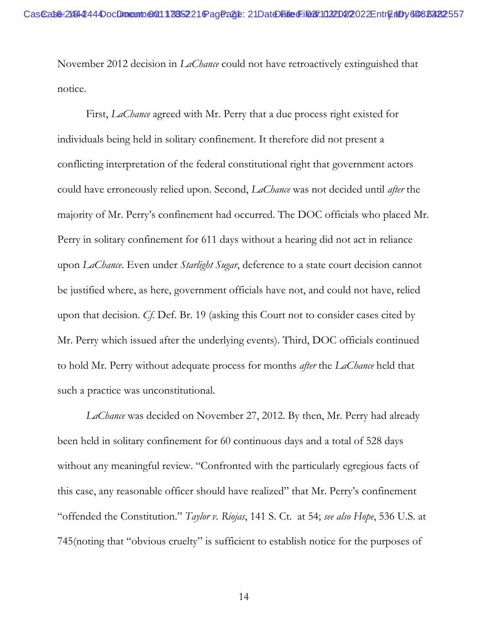November 2012 decision in *LaChance* could not have retroactively extinguished that notice.

First, *LaChance* agreed with Mr. Perry that a due process right existed for individuals being held in solitary confinement. It therefore did not present a conflicting interpretation of the federal constitutional right that government actors could have erroneously relied upon. Second, *LaChance* was not decided until *after* the majority of Mr. Perry's confinement had occurred. The DOC officials who placed Mr. Perry in solitary confinement for 611 days without a hearing did not act in reliance upon *LaChance*. Even under *Starlight Sugar*, deference to a state court decision cannot be justified where, as here, government officials have not, and could not have, relied upon that decision. *Cf*. Def. Br. 19 (asking this Court not to consider cases cited by Mr. Perry which issued after the underlying events). Third, DOC officials continued to hold Mr. Perry without adequate process for months *after* the *LaChance* held that such a practice was unconstitutional.

*LaChance* was decided on November 27, 2012. By then, Mr. Perry had already been held in solitary confinement for 60 continuous days and a total of 528 days without any meaningful review. "Confronted with the particularly egregious facts of this case, any reasonable officer should have realized" that Mr. Perry's confinement "offended the Constitution." *Taylor v. Riojas*, 141 S. Ct. at 54; *see also Hope*, 536 U.S. at 745(noting that "obvious cruelty" is sufficient to establish notice for the purposes of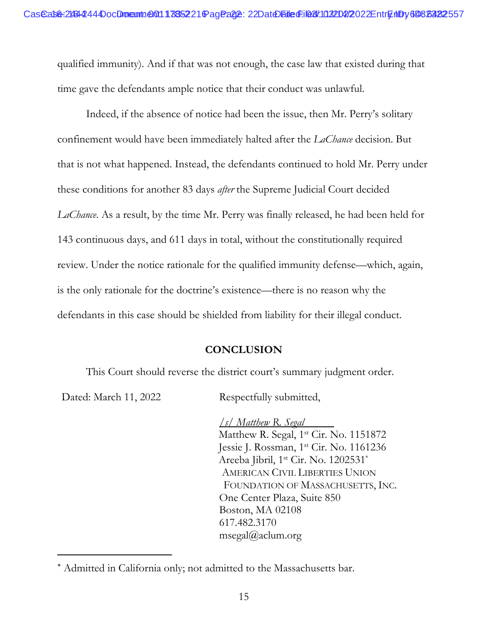qualified immunity). And if that was not enough, the case law that existed during that time gave the defendants ample notice that their conduct was unlawful.

Indeed, if the absence of notice had been the issue, then Mr. Perry's solitary confinement would have been immediately halted after the *LaChance* decision. But that is not what happened. Instead, the defendants continued to hold Mr. Perry under these conditions for another 83 days *after* the Supreme Judicial Court decided *LaChance*. As a result, by the time Mr. Perry was finally released, he had been held for 143 continuous days, and 611 days in total, without the constitutionally required review. Under the notice rationale for the qualified immunity defense—which, again, is the only rationale for the doctrine's existence—there is no reason why the defendants in this case should be shielded from liability for their illegal conduct.

### **CONCLUSION**

This Court should reverse the district court's summary judgment order.

Dated: March 11, 2022 Respectfully submitted,

*/s/ Matthew R. Segal*  Matthew R. Segal, 1<sup>st</sup> Cir. No. 1151872 Jessie J. Rossman, 1st Cir. No. 1161236 Areeba Jibril, 1<sup>st</sup> Cir. No. 1202531<sup>\*</sup> AMERICAN CIVIL LIBERTIES UNION FOUNDATION OF MASSACHUSETTS, INC. One Center Plaza, Suite 850 Boston, MA 02108 617.482.3170 msegal@aclum.org

 Admitted in California only; not admitted to the Massachusetts bar.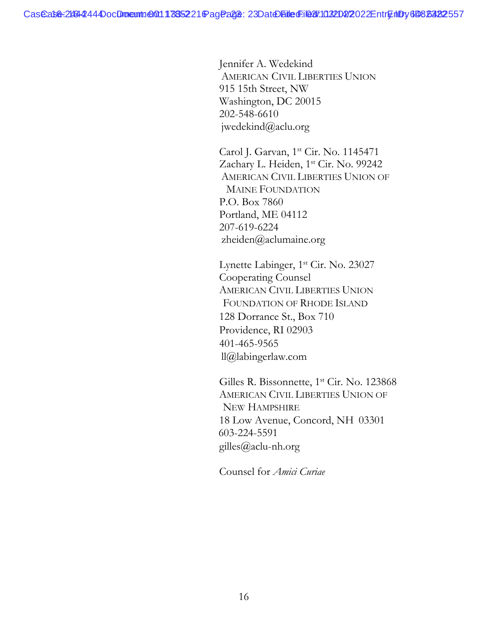Jennifer A. Wedekind AMERICAN CIVIL LIBERTIES UNION 915 15th Street, NW Washington, DC 20015 202-548-6610 jwedekind@aclu.org

Carol J. Garvan, 1st Cir. No. 1145471 Zachary L. Heiden, 1st Cir. No. 99242 AMERICAN CIVIL LIBERTIES UNION OF MAINE FOUNDATION P.O. Box 7860 Portland, ME 04112 207-619-6224 zheiden@aclumaine.org

Lynette Labinger, 1<sup>st</sup> Cir. No. 23027 Cooperating Counsel AMERICAN CIVIL LIBERTIES UNION FOUNDATION OF RHODE ISLAND      128 Dorrance St., Box 710 Providence, RI 02903 401-465-9565 ll@labingerlaw.com

Gilles R. Bissonnette, 1<sup>st</sup> Cir. No. 123868 AMERICAN CIVIL LIBERTIES UNION OF NEW HAMPSHIRE 18 Low Avenue, Concord, NH 03301 603-224-5591 gilles@aclu-nh.org

Counsel for *Amici Curiae*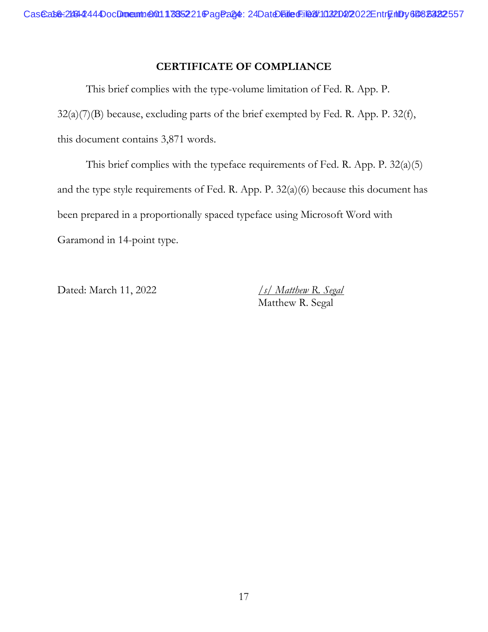### **CERTIFICATE OF COMPLIANCE**

This brief complies with the type-volume limitation of Fed. R. App. P. 32(a)(7)(B) because, excluding parts of the brief exempted by Fed. R. App. P. 32(f), this document contains 3,871 words.

This brief complies with the typeface requirements of Fed. R. App. P. 32(a)(5) and the type style requirements of Fed. R. App. P. 32(a)(6) because this document has been prepared in a proportionally spaced typeface using Microsoft Word with Garamond in 14-point type.

Dated: March 11, 2022 */s/ Matthew R. Segal*

Matthew R. Segal